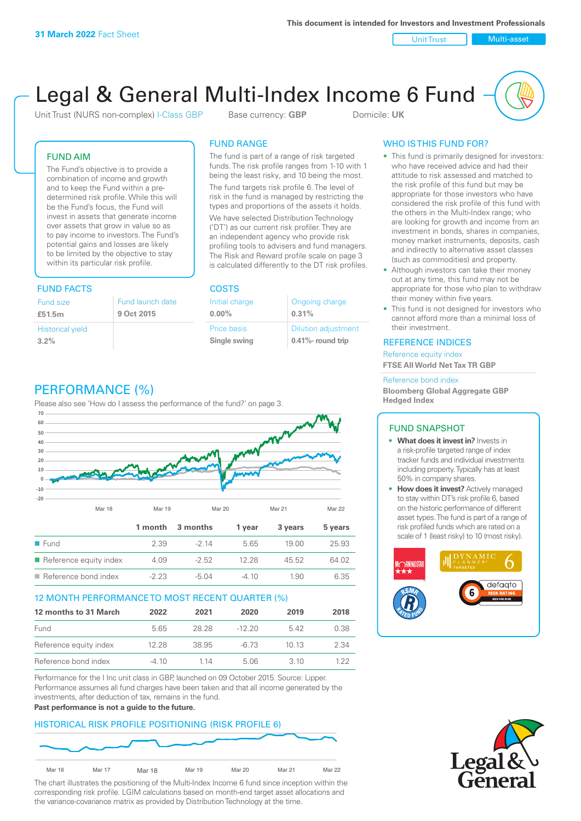Unit Trust Nulti-asset

# Legal & General Multi-Index Income 6 Fund

Unit Trust (NURS non-complex) I-Class GBP Base currency: **GBP** Domicile: UK

The fund is part of a range of risk targeted funds. The risk profile ranges from 1-10 with 1 being the least risky, and 10 being the most. The fund targets risk profile 6. The level of risk in the fund is managed by restricting the types and proportions of the assets it holds. We have selected Distribution Technology ('DT') as our current risk profiler. They are an independent agency who provide risk profiling tools to advisers and fund managers. The Risk and Reward profile scale on page 3 is calculated differently to the DT risk profiles.

Ongoing charge

Dilution adjustment **0.41%- round trip**

**0.31%**

FUND RANGE

Initial charge **0.00%**

Price basis **Single swing**

## FUND AIM

The Fund's objective is to provide a combination of income and growth and to keep the Fund within a predetermined risk profile. While this will be the Fund's focus, the Fund will invest in assets that generate income over assets that grow in value so as to pay income to investors. The Fund's potential gains and losses are likely to be limited by the objective to stay within its particular risk profile.

## FUND FACTS COSTS

| Fund size                       | <b>Fund launch date</b> |
|---------------------------------|-------------------------|
| £51.5m                          | 9 Oct 2015              |
| <b>Historical yield</b><br>3.2% |                         |

# PERFORMANCE (%)

Please also see 'How do I assess the performance of the fund?' on page 3.



## 12 MONTH PERFORMANCE TO MOST RECENT QUARTER (%)

| 12 months to 31 March  | 2022  | 2021  | 2020     | 2019  | 2018 |
|------------------------|-------|-------|----------|-------|------|
| Fund                   | 565   | 28.28 | $-12.20$ | 542   | 0.38 |
| Reference equity index | 12.28 | 38.95 | -6.73    | 1013  | 2.34 |
| Reference bond index   | -4 10 | 1 14  | 5.06     | 3. IO | 1 22 |

Performance for the I Inc unit class in GBP, launched on 09 October 2015. Source: Lipper. Performance assumes all fund charges have been taken and that all income generated by the investments, after deduction of tax, remains in the fund.

#### **Past performance is not a guide to the future.**

## HISTORICAL RISK PROFILE POSITIONING (RISK PROFILE 6)



The chart illustrates the positioning of the Multi-Index Income 6 fund since inception within the corresponding risk profile. LGIM calculations based on month-end target asset allocations and the variance-covariance matrix as provided by Distribution Technology at the time.

## WHO IS THIS FUND FOR?

- This fund is primarily designed for investors: who have received advice and had their attitude to risk assessed and matched to the risk profile of this fund but may be appropriate for those investors who have considered the risk profile of this fund with the others in the Multi-Index range; who are looking for growth and income from an investment in bonds, shares in companies, money market instruments, deposits, cash and indirectly to alternative asset classes (such as commodities) and property.
- Although investors can take their money out at any time, this fund may not be appropriate for those who plan to withdraw their money within five years.
- This fund is not designed for investors who cannot afford more than a minimal loss of their investment.

## REFERENCE INDICES

Reference equity index **FTSE All World Net Tax TR GBP**

#### Reference bond index

**Bloomberg Global Aggregate GBP Hedged Index**

## FUND SNAPSHOT

- **• What does it invest in?** Invests in a risk-profile targeted range of index tracker funds and individual investments including property. Typically has at least 50% in company shares.
- **• How does it invest?** Actively managed to stay within DT's risk profile 6, based on the historic performance of different asset types. The fund is part of a range of risk profiled funds which are rated on a scale of 1 (least risky) to 10 (most risky).



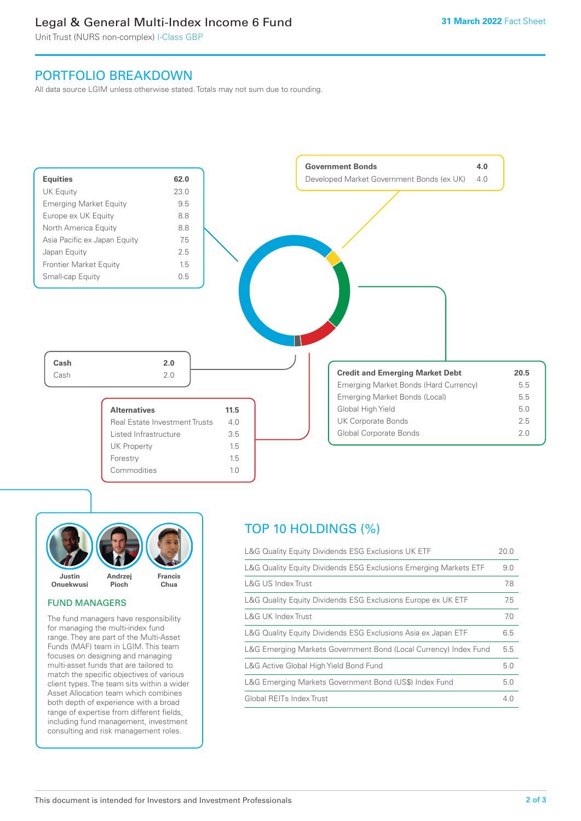# Legal & General Multi-Index Income 6 Fund

Unit Trust (NURS non-complex) I-Class GBP

# PORTFOLIO BREAKDOWN

All data source LGIM unless otherwise stated. Totals may not sum due to rounding.





## FUND MANAGERS

The fund managers have responsibility for managing the multi-index fund range. They are part of the Multi-Asset Funds (MAF) team in LGIM. This team focuses on designing and managing multi-asset funds that are tailored to match the specific objectives of various client types. The team sits within a wider Asset Allocation team which combines both depth of experience with a broad range of expertise from different fields, including fund management, investment consulting and risk management roles.

# TOP 10 HOLDINGS (%)

| L&G Quality Equity Dividends ESG Exclusions UK ETF               | 20.0 |
|------------------------------------------------------------------|------|
| L&G Quality Equity Dividends ESG Exclusions Emerging Markets ETF | 9.0  |
| L&G US Index Trust                                               | 7.8  |
| L&G Quality Equity Dividends ESG Exclusions Europe ex UK ETF     | 7.5  |
| L&G UK Index Trust                                               | 7.0  |
| L&G Quality Equity Dividends ESG Exclusions Asia ex Japan ETF    | 6.5  |
| L&G Emerging Markets Government Bond (Local Currency) Index Fund | 5.5  |
| L&G Active Global High Yield Bond Fund                           | 5.0  |
| L&G Emerging Markets Government Bond (US\$) Index Fund           | 5.0  |
| Global REITs Index Trust                                         | 4.0  |